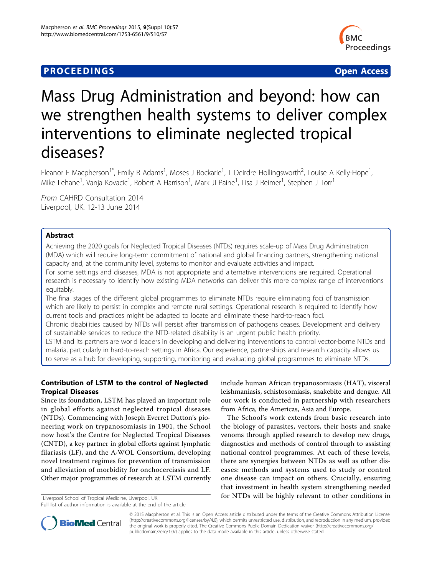## **PROCEEDINGS STATE SERVICE SERVICE SERVICE SERVICE SERVICE SERVICE SERVICE SERVICE SERVICE SERVICE SERVICE SERVICE SERVICE SERVICE SERVICE SERVICE SERVICE SERVICE SERVICE SERVICE SERVICE SERVICE SERVICE SERVICE SERVICE S**



# Mass Drug Administration and beyond: how can we strengthen health systems to deliver complex interventions to eliminate neglected tropical diseases?

Eleanor E Macpherson<sup>1\*</sup>, Emily R Adams<sup>1</sup>, Moses J Bockarie<sup>1</sup>, T Deirdre Hollingsworth<sup>2</sup>, Louise A Kelly-Hope<sup>1</sup> , Mike Lehane<sup>1</sup>, Vanja Kovacic<sup>1</sup>, Robert A Harrison<sup>1</sup>, Mark JI Paine<sup>1</sup>, Lisa J Reimer<sup>1</sup>, Stephen J Torr<sup>1</sup>

From CAHRD Consultation 2014 Liverpool, UK. 12-13 June 2014

### Abstract

Achieving the 2020 goals for Neglected Tropical Diseases (NTDs) requires scale-up of Mass Drug Administration (MDA) which will require long-term commitment of national and global financing partners, strengthening national capacity and, at the community level, systems to monitor and evaluate activities and impact.

For some settings and diseases, MDA is not appropriate and alternative interventions are required. Operational research is necessary to identify how existing MDA networks can deliver this more complex range of interventions equitably.

The final stages of the different global programmes to eliminate NTDs require eliminating foci of transmission which are likely to persist in complex and remote rural settings. Operational research is required to identify how current tools and practices might be adapted to locate and eliminate these hard-to-reach foci.

Chronic disabilities caused by NTDs will persist after transmission of pathogens ceases. Development and delivery of sustainable services to reduce the NTD-related disability is an urgent public health priority.

LSTM and its partners are world leaders in developing and delivering interventions to control vector-borne NTDs and malaria, particularly in hard-to-reach settings in Africa. Our experience, partnerships and research capacity allows us to serve as a hub for developing, supporting, monitoring and evaluating global programmes to eliminate NTDs.

### Contribution of LSTM to the control of Neglected Tropical Diseases

Since its foundation, LSTM has played an important role in global efforts against neglected tropical diseases (NTDs). Commencing with Joseph Everret Dutton's pioneering work on trypanosomiasis in 1901, the School now host's the Centre for Neglected Tropical Diseases (CNTD), a key partner in global efforts against lymphatic filariasis (LF), and the A·WOL Consortium, developing novel treatment regimes for prevention of transmission and alleviation of morbidity for onchocerciasis and LF. Other major programmes of research at LSTM currently

include human African trypanosomiasis (HAT), visceral leishmaniasis, schistosomiasis, snakebite and dengue. All our work is conducted in partnership with researchers from Africa, the Americas, Asia and Europe.

The School's work extends from basic research into the biology of parasites, vectors, their hosts and snake venoms through applied research to develop new drugs, diagnostics and methods of control through to assisting national control programmes. At each of these levels, there are synergies between NTDs as well as other diseases: methods and systems used to study or control one disease can impact on others. Crucially, ensuring that investment in health system strengthening needed <sup>1</sup> Liverpool School of Tropical Medicine, Liverpool, UK **Liverpool School of Tropical Medicine**, Liverpool, UK



© 2015 Macpherson et al. This is an Open Access article distributed under the terms of the Creative Commons Attribution License [\(http://creativecommons.org/licenses/by/4.0](http://creativecommons.org/licenses/by/4.0)), which permits unrestricted use, distribution, and reproduction in any medium, provided the original work is properly cited. The Creative Commons Public Domain Dedication waiver ([http://creativecommons.org/](http://creativecommons.org/publicdomain/zero/1.0/) [publicdomain/zero/1.0/](http://creativecommons.org/publicdomain/zero/1.0/)) applies to the data made available in this article, unless otherwise stated

Full list of author information is available at the end of the article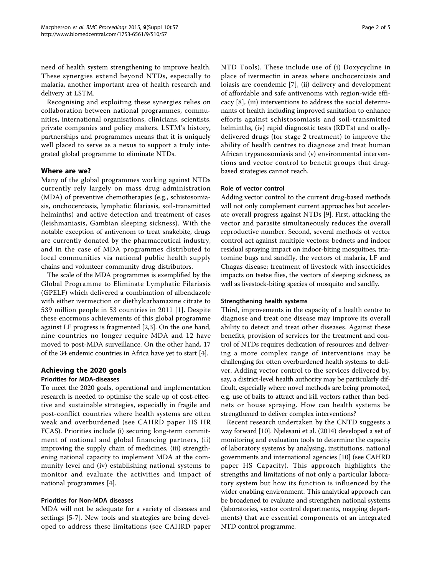need of health system strengthening to improve health. These synergies extend beyond NTDs, especially to malaria, another important area of health research and delivery at LSTM.

Recognising and exploiting these synergies relies on collaboration between national programmes, communities, international organisations, clinicians, scientists, private companies and policy makers. LSTM's history, partnerships and programmes means that it is uniquely well placed to serve as a nexus to support a truly integrated global programme to eliminate NTDs.

#### Where are we?

Many of the global programmes working against NTDs currently rely largely on mass drug administration (MDA) of preventive chemotherapies (e.g., schistosomiasis, onchocerciasis, lymphatic filariasis, soil-transmitted helminths) and active detection and treatment of cases (leishmaniasis, Gambian sleeping sickness). With the notable exception of antivenom to treat snakebite, drugs are currently donated by the pharmaceutical industry, and in the case of MDA programmes distributed to local communities via national public health supply chains and volunteer community drug distributors.

The scale of the MDA programmes is exemplified by the Global Programme to Eliminate Lymphatic Filariasis (GPELF) which delivered a combination of albendazole with either ivermection or diethylcarbamazine citrate to 539 million people in 53 countries in 2011 [[1\]](#page-4-0). Despite these enormous achievements of this global programme against LF progress is fragmented [\[2,3](#page-4-0)]. On the one hand, nine countries no longer require MDA and 12 have moved to post-MDA surveillance. On the other hand, 17 of the 34 endemic countries in Africa have yet to start [\[4](#page-4-0)].

#### Achieving the 2020 goals Priorities for MDA-diseases

To meet the 2020 goals, operational and implementation research is needed to optimise the scale up of cost-effective and sustainable strategies, especially in fragile and post-conflict countries where health systems are often weak and overburdened (see CAHRD paper HS HR FCAS). Priorities include (i) securing long-term commitment of national and global financing partners, (ii) improving the supply chain of medicines, (iii) strengthening national capacity to implement MDA at the community level and (iv) establishing national systems to monitor and evaluate the activities and impact of national programmes [\[4](#page-4-0)].

#### Priorities for Non-MDA diseases

MDA will not be adequate for a variety of diseases and settings [[5-7](#page-4-0)]. New tools and strategies are being developed to address these limitations (see CAHRD paper NTD Tools). These include use of (i) Doxycycline in place of ivermectin in areas where onchocerciasis and loiasis are coendemic [\[7](#page-4-0)], (ii) delivery and development of affordable and safe antivenoms with region-wide efficacy [[8\]](#page-4-0), (iii) interventions to address the social determinants of health including improved sanitation to enhance efforts against schistosomiasis and soil-transmitted helminths, (iv) rapid diagnostic tests (RDTs) and orallydelivered drugs (for stage 2 treatment) to improve the ability of health centres to diagnose and treat human African trypanosomiasis and (v) environmental interventions and vector control to benefit groups that drugbased strategies cannot reach.

#### Role of vector control

Adding vector control to the current drug-based methods will not only complement current approaches but accelerate overall progress against NTDs [\[9](#page-4-0)]. First, attacking the vector and parasite simultaneously reduces the overall reproductive number. Second, several methods of vector control act against multiple vectors: bednets and indoor residual spraying impact on indoor-biting mosquitoes, triatomine bugs and sandfly, the vectors of malaria, LF and Chagas disease; treatment of livestock with insecticides impacts on tsetse flies, the vectors of sleeping sickness, as well as livestock-biting species of mosquito and sandfly.

#### Strengthening health systems

Third, improvements in the capacity of a health centre to diagnose and treat one disease may improve its overall ability to detect and treat other diseases. Against these benefits, provision of services for the treatment and control of NTDs requires dedication of resources and delivering a more complex range of interventions may be challenging for often overburdened health systems to deliver. Adding vector control to the services delivered by, say, a district-level health authority may be particularly difficult, especially where novel methods are being promoted, e.g. use of baits to attract and kill vectors rather than bednets or house spraying. How can health systems be strengthened to deliver complex interventions?

Recent research undertaken by the CNTD suggests a way forward [[10](#page-4-0)]. Njelesani et al. (2014) developed a set of monitoring and evaluation tools to determine the capacity of laboratory systems by analysing, institutions, national governments and international agencies [[10](#page-4-0)] (see CAHRD paper HS Capacity). This approach highlights the strengths and limitations of not only a particular laboratory system but how its function is influenced by the wider enabling environment. This analytical approach can be broadened to evaluate and strengthen national systems (laboratories, vector control departments, mapping departments) that are essential components of an integrated NTD control programme.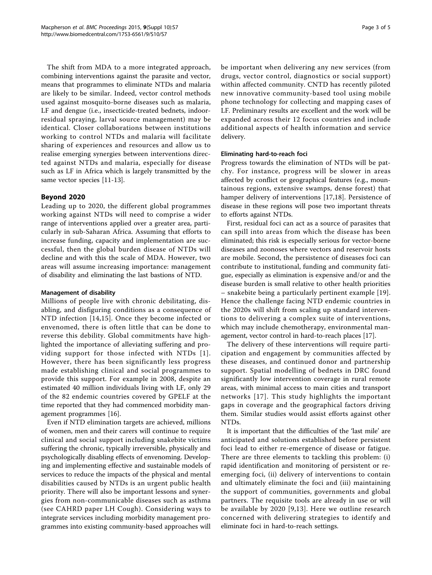The shift from MDA to a more integrated approach, combining interventions against the parasite and vector, means that programmes to eliminate NTDs and malaria are likely to be similar. Indeed, vector control methods used against mosquito-borne diseases such as malaria, LF and dengue (i.e., insecticide-treated bednets, indoorresidual spraying, larval source management) may be identical. Closer collaborations between institutions working to control NTDs and malaria will facilitate sharing of experiences and resources and allow us to realise emerging synergies between interventions directed against NTDs and malaria, especially for disease such as LF in Africa which is largely transmitted by the same vector species [[11-13\]](#page-4-0).

#### Beyond 2020

Leading up to 2020, the different global programmes working against NTDs will need to comprise a wider range of interventions applied over a greater area, particularly in sub-Saharan Africa. Assuming that efforts to increase funding, capacity and implementation are successful, then the global burden disease of NTDs will decline and with this the scale of MDA. However, two areas will assume increasing importance: management of disability and eliminating the last bastions of NTD.

#### Management of disability

Millions of people live with chronic debilitating, disabling, and disfiguring conditions as a consequence of NTD infection [[14](#page-4-0),[15\]](#page-4-0). Once they become infected or envenomed, there is often little that can be done to reverse this debility. Global commitments have highlighted the importance of alleviating suffering and providing support for those infected with NTDs [[1\]](#page-4-0). However, there has been significantly less progress made establishing clinical and social programmes to provide this support. For example in 2008, despite an estimated 40 million individuals living with LF, only 29 of the 82 endemic countries covered by GPELF at the time reported that they had commenced morbidity management programmes [[16\]](#page-4-0).

Even if NTD elimination targets are achieved, millions of women, men and their carers will continue to require clinical and social support including snakebite victims suffering the chronic, typically irreversible, physically and psychologically disabling effects of envenoming. Developing and implementing effective and sustainable models of services to reduce the impacts of the physical and mental disabilities caused by NTDs is an urgent public health priority. There will also be important lessons and synergies from non-communicable diseases such as asthma (see CAHRD paper LH Cough). Considering ways to integrate services including morbidity management programmes into existing community-based approaches will be important when delivering any new services (from drugs, vector control, diagnostics or social support) within affected community. CNTD has recently piloted new innovative community-based tool using mobile phone technology for collecting and mapping cases of LF. Preliminary results are excellent and the work will be expanded across their 12 focus countries and include additional aspects of health information and service delivery.

#### Eliminating hard-to-reach foci

Progress towards the elimination of NTDs will be patchy. For instance, progress will be slower in areas affected by conflict or geographical features (e.g., mountainous regions, extensive swamps, dense forest) that hamper delivery of interventions [\[17,18](#page-4-0)]. Persistence of disease in these regions will pose two important threats to efforts against NTDs.

First, residual foci can act as a source of parasites that can spill into areas from which the disease has been eliminated; this risk is especially serious for vector-borne diseases and zoonoses where vectors and reservoir hosts are mobile. Second, the persistence of diseases foci can contribute to institutional, funding and community fatigue, especially as elimination is expensive and/or and the disease burden is small relative to other health priorities – snakebite being a particularly pertinent example [[19](#page-4-0)]. Hence the challenge facing NTD endemic countries in the 2020s will shift from scaling up standard interventions to delivering a complex suite of interventions, which may include chemotherapy, environmental management, vector control in hard-to-reach places [[17\]](#page-4-0).

The delivery of these interventions will require participation and engagement by communities affected by these diseases, and continued donor and partnership support. Spatial modelling of bednets in DRC found significantly low intervention coverage in rural remote areas, with minimal access to main cities and transport networks [[17](#page-4-0)]. This study highlights the important gaps in coverage and the geographical factors driving them. Similar studies would assist efforts against other NTDs.

It is important that the difficulties of the 'last mile' are anticipated and solutions established before persistent foci lead to either re-emergence of disease or fatigue. There are three elements to tackling this problem: (i) rapid identification and monitoring of persistent or reemerging foci, (ii) delivery of interventions to contain and ultimately eliminate the foci and (iii) maintaining the support of communities, governments and global partners. The requisite tools are already in use or will be available by 2020 [[9,13\]](#page-4-0). Here we outline research concerned with delivering strategies to identify and eliminate foci in hard-to-reach settings.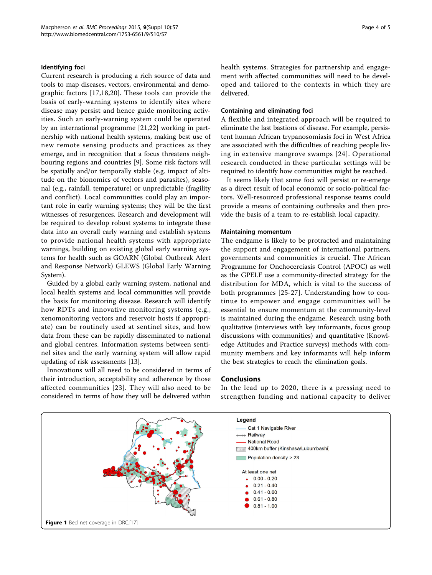#### Identifying foci

Current research is producing a rich source of data and tools to map diseases, vectors, environmental and demographic factors [[17,18,20](#page-4-0)]. These tools can provide the basis of early-warning systems to identify sites where disease may persist and hence guide monitoring activities. Such an early-warning system could be operated by an international programme [\[21](#page-4-0),[22](#page-4-0)] working in partnership with national health systems, making best use of new remote sensing products and practices as they emerge, and in recognition that a focus threatens neighbouring regions and countries [[9](#page-4-0)]. Some risk factors will be spatially and/or temporally stable (e.g. impact of altitude on the bionomics of vectors and parasites), seasonal (e.g., rainfall, temperature) or unpredictable (fragility and conflict). Local communities could play an important role in early warning systems; they will be the first witnesses of resurgences. Research and development will be required to develop robust systems to integrate these data into an overall early warning and establish systems to provide national health systems with appropriate warnings, building on existing global early warning systems for health such as GOARN (Global Outbreak Alert and Response Network) GLEWS (Global Early Warning System).

Guided by a global early warning system, national and local health systems and local communities will provide the basis for monitoring disease. Research will identify how RDTs and innovative monitoring systems (e.g., xenomonitoring vectors and reservoir hosts if appropriate) can be routinely used at sentinel sites, and how data from these can be rapidly disseminated to national and global centres. Information systems between sentinel sites and the early warning system will allow rapid updating of risk assessments [\[13\]](#page-4-0).

Innovations will all need to be considered in terms of their introduction, acceptability and adherence by those affected communities [[23\]](#page-4-0). They will also need to be considered in terms of how they will be delivered within health systems. Strategies for partnership and engagement with affected communities will need to be developed and tailored to the contexts in which they are delivered.

#### Containing and eliminating foci

A flexible and integrated approach will be required to eliminate the last bastions of disease. For example, persistent human African trypanosomiasis foci in West Africa are associated with the difficulties of reaching people living in extensive mangrove swamps [[24\]](#page-4-0). Operational research conducted in these particular settings will be required to identify how communities might be reached.

It seems likely that some foci will persist or re-emerge as a direct result of local economic or socio-political factors. Well-resourced professional response teams could provide a means of containing outbreaks and then provide the basis of a team to re-establish local capacity.

#### Maintaining momentum

The endgame is likely to be protracted and maintaining the support and engagement of international partners, governments and communities is crucial. The African Programme for Onchocerciasis Control (APOC) as well as the GPELF use a community-directed strategy for the distribution for MDA, which is vital to the success of both programmes [[25](#page-4-0)-[27](#page-4-0)]. Understanding how to continue to empower and engage communities will be essential to ensure momentum at the community-level is maintained during the endgame. Research using both qualitative (interviews with key informants, focus group discussions with communities) and quantitative (Knowledge Attitudes and Practice surveys) methods with community members and key informants will help inform the best strategies to reach the elimination goals.

#### Conclusions

In the lead up to 2020, there is a pressing need to strengthen funding and national capacity to deliver